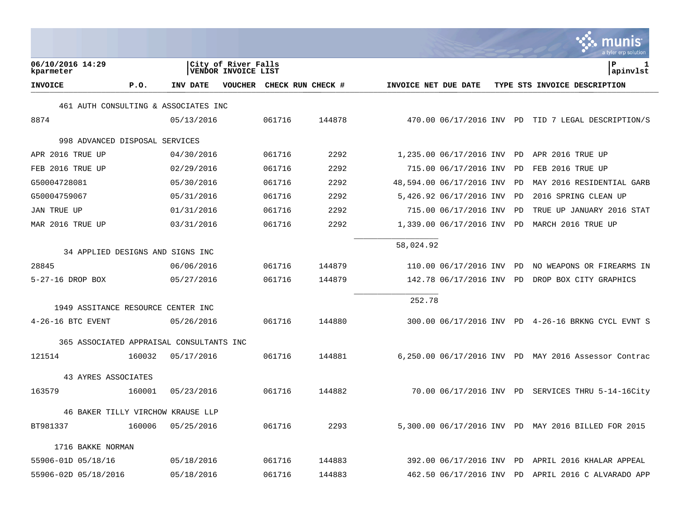|                                          |        |            |                                            |        |                   |                      |                          |    | a tyler erp solution                                 |
|------------------------------------------|--------|------------|--------------------------------------------|--------|-------------------|----------------------|--------------------------|----|------------------------------------------------------|
| 06/10/2016 14:29<br>kparmeter            |        |            | City of River Falls<br>VENDOR INVOICE LIST |        |                   |                      |                          |    | P<br>1<br>apinvlst                                   |
| <b>INVOICE</b>                           | P.0.   | INV DATE   | <b>VOUCHER</b>                             |        | CHECK RUN CHECK # | INVOICE NET DUE DATE |                          |    | TYPE STS INVOICE DESCRIPTION                         |
| 461 AUTH CONSULTING & ASSOCIATES INC     |        |            |                                            |        |                   |                      |                          |    |                                                      |
| 8874                                     |        | 05/13/2016 |                                            | 061716 | 144878            |                      |                          |    | 470.00 06/17/2016 INV PD TID 7 LEGAL DESCRIPTION/S   |
| 998 ADVANCED DISPOSAL SERVICES           |        |            |                                            |        |                   |                      |                          |    |                                                      |
| APR 2016 TRUE UP                         |        | 04/30/2016 |                                            | 061716 | 2292              |                      | 1,235.00 06/17/2016 INV  | PD | APR 2016 TRUE UP                                     |
| FEB 2016 TRUE UP                         |        | 02/29/2016 |                                            | 061716 | 2292              |                      | 715.00 06/17/2016 INV    | PD | FEB 2016 TRUE UP                                     |
| G50004728081                             |        | 05/30/2016 |                                            | 061716 | 2292              |                      | 48,594.00 06/17/2016 INV | PD | MAY 2016 RESIDENTIAL GARB                            |
| G50004759067                             |        | 05/31/2016 |                                            | 061716 | 2292              |                      | 5,426.92 06/17/2016 INV  | PD | 2016 SPRING CLEAN UP                                 |
| <b>JAN TRUE UP</b>                       |        | 01/31/2016 |                                            | 061716 | 2292              |                      | 715.00 06/17/2016 INV    | PD | TRUE UP JANUARY 2016 STAT                            |
| MAR 2016 TRUE UP                         |        | 03/31/2016 |                                            | 061716 | 2292              |                      | 1,339.00 06/17/2016 INV  | PD | MARCH 2016 TRUE UP                                   |
| 34 APPLIED DESIGNS AND SIGNS INC         |        |            |                                            |        |                   | 58,024.92            |                          |    |                                                      |
| 28845                                    |        | 06/06/2016 |                                            | 061716 | 144879            |                      | 110.00 06/17/2016 INV    | PD | NO WEAPONS OR FIREARMS IN                            |
| 5-27-16 DROP BOX                         |        | 05/27/2016 |                                            | 061716 | 144879            |                      | 142.78 06/17/2016 INV    | PD | DROP BOX CITY GRAPHICS                               |
|                                          |        |            |                                            |        |                   | 252.78               |                          |    |                                                      |
| 1949 ASSITANCE RESOURCE CENTER INC       |        |            |                                            |        |                   |                      |                          |    |                                                      |
| $4-26-16$ BTC EVENT                      |        | 05/26/2016 |                                            | 061716 | 144880            |                      |                          |    | 300.00 06/17/2016 INV PD 4-26-16 BRKNG CYCL EVNT S   |
| 365 ASSOCIATED APPRAISAL CONSULTANTS INC |        |            |                                            |        |                   |                      |                          |    |                                                      |
| 121514                                   | 160032 | 05/17/2016 |                                            | 061716 | 144881            |                      |                          |    | 6,250.00 06/17/2016 INV PD MAY 2016 Assessor Contrac |
| 43 AYRES ASSOCIATES                      |        |            |                                            |        |                   |                      |                          |    |                                                      |
| 163579                                   | 160001 | 05/23/2016 |                                            | 061716 | 144882            |                      |                          |    | 70.00 06/17/2016 INV PD SERVICES THRU 5-14-16City    |
| 46 BAKER TILLY VIRCHOW KRAUSE LLP        |        |            |                                            |        |                   |                      |                          |    |                                                      |
| BT981337                                 | 160006 | 05/25/2016 |                                            | 061716 | 2293              |                      |                          |    | 5,300.00 06/17/2016 INV PD MAY 2016 BILLED FOR 2015  |
| 1716 BAKKE NORMAN                        |        |            |                                            |        |                   |                      |                          |    |                                                      |
| 55906-01D 05/18/16                       |        | 05/18/2016 |                                            | 061716 | 144883            |                      | 392.00 06/17/2016 INV    | PD | APRIL 2016 KHALAR APPEAL                             |
| 55906-02D 05/18/2016                     |        | 05/18/2016 |                                            | 061716 | 144883            |                      |                          |    | 462.50 06/17/2016 INV PD APRIL 2016 C ALVARADO APP   |

**College**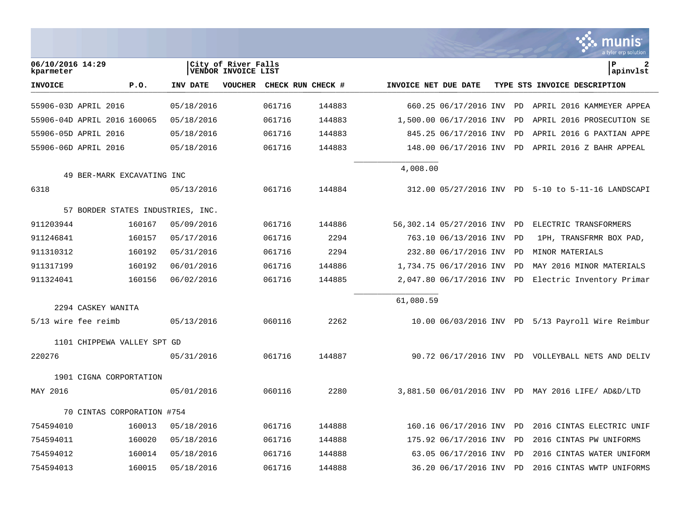|                               |                                   |            |                                            |                   |        |                      |                          |    | munis<br>a tyler erp solution                      |
|-------------------------------|-----------------------------------|------------|--------------------------------------------|-------------------|--------|----------------------|--------------------------|----|----------------------------------------------------|
| 06/10/2016 14:29<br>kparmeter |                                   |            | City of River Falls<br>VENDOR INVOICE LIST |                   |        |                      |                          |    | $\mathbf{2}$<br>l P<br>apinvlst                    |
| <b>INVOICE</b>                | P.0.                              | INV DATE   | <b>VOUCHER</b>                             | CHECK RUN CHECK # |        | INVOICE NET DUE DATE |                          |    | TYPE STS INVOICE DESCRIPTION                       |
| 55906-03D APRIL 2016          |                                   | 05/18/2016 |                                            | 061716            | 144883 |                      | 660.25 06/17/2016 INV    | PD | APRIL 2016 KAMMEYER APPEA                          |
|                               | 55906-04D APRIL 2016 160065       | 05/18/2016 |                                            | 061716            | 144883 |                      | 1,500.00 06/17/2016 INV  | PD | APRIL 2016 PROSECUTION SE                          |
| 55906-05D APRIL 2016          |                                   | 05/18/2016 |                                            | 061716            | 144883 |                      | 845.25 06/17/2016 INV    | PD | APRIL 2016 G PAXTIAN APPE                          |
| 55906-06D APRIL 2016          |                                   | 05/18/2016 |                                            | 061716            | 144883 |                      | 148.00 06/17/2016 INV    | PD | APRIL 2016 Z BAHR APPEAL                           |
|                               |                                   |            |                                            |                   |        | 4,008.00             |                          |    |                                                    |
|                               | 49 BER-MARK EXCAVATING INC        |            |                                            |                   |        |                      |                          |    |                                                    |
| 6318                          |                                   | 05/13/2016 |                                            | 061716            | 144884 |                      | 312.00 05/27/2016 INV PD |    | 5-10 to 5-11-16 LANDSCAPI                          |
|                               | 57 BORDER STATES INDUSTRIES, INC. |            |                                            |                   |        |                      |                          |    |                                                    |
| 911203944                     | 160167                            | 05/09/2016 |                                            | 061716            | 144886 |                      | 56,302.14 05/27/2016 INV | PD | ELECTRIC TRANSFORMERS                              |
| 911246841                     | 160157                            | 05/17/2016 |                                            | 061716            | 2294   |                      | 763.10 06/13/2016 INV    | PD | 1PH, TRANSFRMR BOX PAD,                            |
| 911310312                     | 160192                            | 05/31/2016 |                                            | 061716            | 2294   |                      | 232.80 06/17/2016 INV    | PD | MINOR MATERIALS                                    |
| 911317199                     | 160192                            | 06/01/2016 |                                            | 061716            | 144886 |                      | 1,734.75 06/17/2016 INV  | PD | MAY 2016 MINOR MATERIALS                           |
| 911324041                     | 160156                            | 06/02/2016 |                                            | 061716            | 144885 |                      | 2,047.80 06/17/2016 INV  | PD | Electric Inventory Primar                          |
|                               |                                   |            |                                            |                   |        | 61,080.59            |                          |    |                                                    |
|                               | 2294 CASKEY WANITA                |            |                                            |                   |        |                      |                          |    |                                                    |
| 5/13 wire fee reimb           |                                   | 05/13/2016 |                                            | 060116            | 2262   |                      | 10.00 06/03/2016 INV PD  |    | 5/13 Payroll Wire Reimbur                          |
|                               | 1101 CHIPPEWA VALLEY SPT GD       |            |                                            |                   |        |                      |                          |    |                                                    |
| 220276                        |                                   | 05/31/2016 |                                            | 061716            | 144887 |                      |                          |    | 90.72 06/17/2016 INV PD VOLLEYBALL NETS AND DELIV  |
|                               | 1901 CIGNA CORPORTATION           |            |                                            |                   |        |                      |                          |    |                                                    |
| MAY 2016                      |                                   | 05/01/2016 |                                            | 060116            | 2280   |                      |                          |    | 3,881.50 06/01/2016 INV PD MAY 2016 LIFE/ AD&D/LTD |
|                               | 70 CINTAS CORPORATION #754        |            |                                            |                   |        |                      |                          |    |                                                    |
| 754594010                     | 160013                            | 05/18/2016 |                                            | 061716            | 144888 |                      | 160.16 06/17/2016 INV    | PD | 2016 CINTAS ELECTRIC UNIF                          |
| 754594011                     | 160020                            | 05/18/2016 |                                            | 061716            | 144888 |                      | 175.92 06/17/2016 INV    | PD | 2016 CINTAS PW UNIFORMS                            |
| 754594012                     | 160014                            | 05/18/2016 |                                            | 061716            | 144888 |                      | 63.05 06/17/2016 INV     | PD | 2016 CINTAS WATER UNIFORM                          |
| 754594013                     | 160015                            | 05/18/2016 |                                            | 061716            | 144888 |                      | 36.20 06/17/2016 INV     | PD | 2016 CINTAS WWTP UNIFORMS                          |

**College**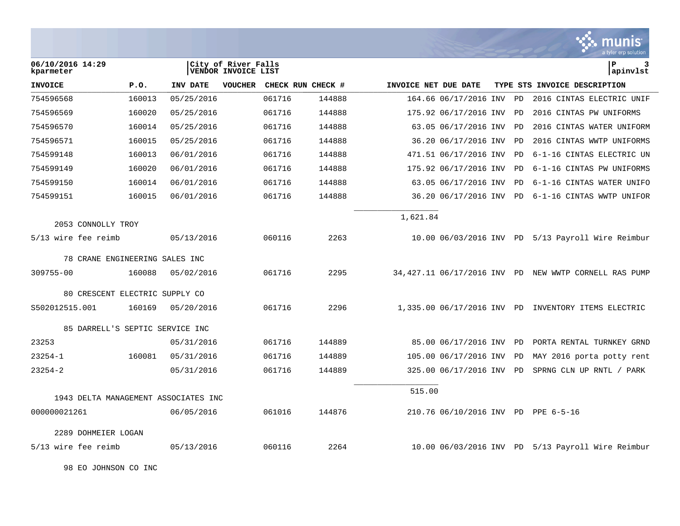|                                      |        |            |                                                   |        |                   |                      |                            |    | munis<br>a tyler erp solution                         |
|--------------------------------------|--------|------------|---------------------------------------------------|--------|-------------------|----------------------|----------------------------|----|-------------------------------------------------------|
| 06/10/2016 14:29<br>kparmeter        |        |            | City of River Falls<br><b>VENDOR INVOICE LIST</b> |        |                   |                      |                            |    | Þ<br>3<br>apinvlst                                    |
| <b>INVOICE</b>                       | P.0.   | INV DATE   | <b>VOUCHER</b>                                    |        | CHECK RUN CHECK # | INVOICE NET DUE DATE |                            |    | TYPE STS INVOICE DESCRIPTION                          |
| 754596568                            | 160013 | 05/25/2016 |                                                   | 061716 | 144888            |                      | 164.66 06/17/2016 INV      | PD | 2016 CINTAS ELECTRIC UNIF                             |
| 754596569                            | 160020 | 05/25/2016 |                                                   | 061716 | 144888            |                      | 175.92 06/17/2016 INV      | PD | 2016 CINTAS PW UNIFORMS                               |
| 754596570                            | 160014 | 05/25/2016 |                                                   | 061716 | 144888            |                      | 63.05 06/17/2016 INV       | PD | 2016 CINTAS WATER UNIFORM                             |
| 754596571                            | 160015 | 05/25/2016 |                                                   | 061716 | 144888            |                      | 36.20 06/17/2016 INV       | PD | 2016 CINTAS WWTP UNIFORMS                             |
| 754599148                            | 160013 | 06/01/2016 |                                                   | 061716 | 144888            |                      | 471.51 06/17/2016 INV      | PD | 6-1-16 CINTAS ELECTRIC UN                             |
| 754599149                            | 160020 | 06/01/2016 |                                                   | 061716 | 144888            |                      | 175.92 06/17/2016 INV      | PD | 6-1-16 CINTAS PW UNIFORMS                             |
| 754599150                            | 160014 | 06/01/2016 |                                                   | 061716 | 144888            |                      | 63.05 06/17/2016 INV       | PD | 6-1-16 CINTAS WATER UNIFO                             |
| 754599151                            | 160015 | 06/01/2016 |                                                   | 061716 | 144888            |                      | 36.20 06/17/2016 INV       | PD | 6-1-16 CINTAS WWTP UNIFOR                             |
| 2053 CONNOLLY TROY                   |        |            |                                                   |        |                   | 1,621.84             |                            |    |                                                       |
| 5/13 wire fee reimb                  |        | 05/13/2016 |                                                   | 060116 | 2263              |                      |                            |    | 10.00 06/03/2016 INV PD 5/13 Payroll Wire Reimbur     |
|                                      |        |            |                                                   |        |                   |                      |                            |    |                                                       |
| 78 CRANE ENGINEERING SALES INC       |        |            |                                                   |        |                   |                      |                            |    |                                                       |
| 309755-00                            | 160088 | 05/02/2016 |                                                   | 061716 | 2295              |                      |                            |    | 34,427.11 06/17/2016 INV PD NEW WWTP CORNELL RAS PUMP |
| 80 CRESCENT ELECTRIC SUPPLY CO       |        |            |                                                   |        |                   |                      |                            |    |                                                       |
| S502012515.001                       | 160169 | 05/20/2016 |                                                   | 061716 | 2296              |                      | 1,335.00 06/17/2016 INV PD |    | INVENTORY ITEMS ELECTRIC                              |
| 85 DARRELL'S SEPTIC SERVICE INC      |        |            |                                                   |        |                   |                      |                            |    |                                                       |
| 23253                                |        | 05/31/2016 |                                                   | 061716 | 144889            |                      | 85.00 06/17/2016 INV       | PD | PORTA RENTAL TURNKEY GRND                             |
| $23254 - 1$                          | 160081 | 05/31/2016 |                                                   | 061716 | 144889            |                      | 105.00 06/17/2016 INV      | PD | MAY 2016 porta potty rent                             |
| $23254 - 2$                          |        | 05/31/2016 |                                                   | 061716 | 144889            |                      | 325.00 06/17/2016 INV      | PD | SPRNG CLN UP RNTL / PARK                              |
|                                      |        |            |                                                   |        |                   | 515.00               |                            |    |                                                       |
| 1943 DELTA MANAGEMENT ASSOCIATES INC |        |            |                                                   |        |                   |                      |                            |    |                                                       |
| 000000021261                         |        | 06/05/2016 |                                                   | 061016 | 144876            |                      |                            |    | 210.76 06/10/2016 INV PD PPE 6-5-16                   |
| 2289 DOHMEIER LOGAN                  |        |            |                                                   |        |                   |                      |                            |    |                                                       |
| 5/13 wire fee reimb                  |        | 05/13/2016 |                                                   | 060116 | 2264              |                      |                            |    | 10.00 06/03/2016 INV PD 5/13 Payroll Wire Reimbur     |

 $\bullet$ 

98 EO JOHNSON CO INC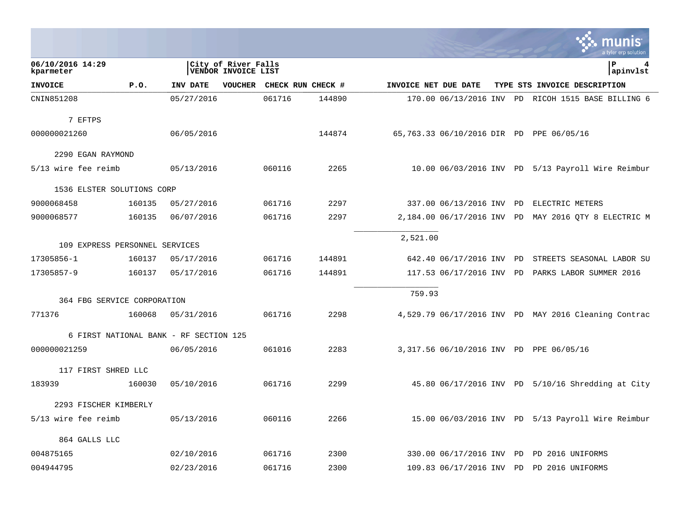|                                |        |                                        |                                            |        |                   |                      |                          |  | tyler erp solution                                   |
|--------------------------------|--------|----------------------------------------|--------------------------------------------|--------|-------------------|----------------------|--------------------------|--|------------------------------------------------------|
| 06/10/2016 14:29<br>kparmeter  |        |                                        | City of River Falls<br>VENDOR INVOICE LIST |        |                   |                      |                          |  | P<br>4<br> apinvlst                                  |
| <b>INVOICE</b>                 | P.0.   | INV DATE                               | <b>VOUCHER</b>                             |        | CHECK RUN CHECK # | INVOICE NET DUE DATE |                          |  | TYPE STS INVOICE DESCRIPTION                         |
| CNIN851208                     |        | 05/27/2016                             |                                            | 061716 | 144890            |                      |                          |  | 170.00 06/13/2016 INV PD RICOH 1515 BASE BILLING 6   |
| 7 EFTPS                        |        |                                        |                                            |        |                   |                      |                          |  |                                                      |
| 000000021260                   |        | 06/05/2016                             |                                            |        | 144874            |                      |                          |  | 65,763.33 06/10/2016 DIR PD PPE 06/05/16             |
| 2290 EGAN RAYMOND              |        |                                        |                                            |        |                   |                      |                          |  |                                                      |
| 5/13 wire fee reimb            |        | 05/13/2016                             |                                            | 060116 | 2265              |                      |                          |  | 10.00 06/03/2016 INV PD 5/13 Payroll Wire Reimbur    |
| 1536 ELSTER SOLUTIONS CORP     |        |                                        |                                            |        |                   |                      |                          |  |                                                      |
| 9000068458                     | 160135 | 05/27/2016                             |                                            | 061716 | 2297              |                      | 337.00 06/13/2016 INV PD |  | ELECTRIC METERS                                      |
| 9000068577                     | 160135 | 06/07/2016                             |                                            | 061716 | 2297              |                      |                          |  | 2,184.00 06/17/2016 INV PD MAY 2016 QTY 8 ELECTRIC M |
| 109 EXPRESS PERSONNEL SERVICES |        |                                        |                                            |        |                   | 2,521.00             |                          |  |                                                      |
| 17305856-1                     | 160137 | 05/17/2016                             |                                            | 061716 | 144891            |                      | 642.40 06/17/2016 INV PD |  | STREETS SEASONAL LABOR SU                            |
| 17305857-9                     | 160137 | 05/17/2016                             |                                            | 061716 | 144891            |                      | 117.53 06/17/2016 INV PD |  | PARKS LABOR SUMMER 2016                              |
|                                |        |                                        |                                            |        |                   |                      |                          |  |                                                      |
| 364 FBG SERVICE CORPORATION    |        |                                        |                                            |        |                   | 759.93               |                          |  |                                                      |
| 771376                         | 160068 | 05/31/2016                             |                                            | 061716 | 2298              |                      |                          |  | 4,529.79 06/17/2016 INV PD MAY 2016 Cleaning Contrac |
|                                |        | 6 FIRST NATIONAL BANK - RF SECTION 125 |                                            |        |                   |                      |                          |  |                                                      |
| 000000021259                   |        | 06/05/2016                             |                                            | 061016 | 2283              |                      |                          |  | 3,317.56 06/10/2016 INV PD PPE 06/05/16              |
| 117 FIRST SHRED LLC            |        |                                        |                                            |        |                   |                      |                          |  |                                                      |
| 183939                         | 160030 | 05/10/2016                             |                                            | 061716 | 2299              |                      |                          |  | 45.80 06/17/2016 INV PD 5/10/16 Shredding at City    |
| 2293 FISCHER KIMBERLY          |        |                                        |                                            |        |                   |                      |                          |  |                                                      |
| 5/13 wire fee reimb            |        | 05/13/2016                             |                                            | 060116 | 2266              |                      |                          |  | 15.00 06/03/2016 INV PD 5/13 Payroll Wire Reimbur    |
| 864 GALLS LLC                  |        |                                        |                                            |        |                   |                      |                          |  |                                                      |
| 004875165                      |        | 02/10/2016                             |                                            | 061716 | 2300              |                      | 330.00 06/17/2016 INV PD |  | PD 2016 UNIFORMS                                     |
| 004944795                      |        | 02/23/2016                             |                                            | 061716 | 2300              |                      | 109.83 06/17/2016 INV PD |  | PD 2016 UNIFORMS                                     |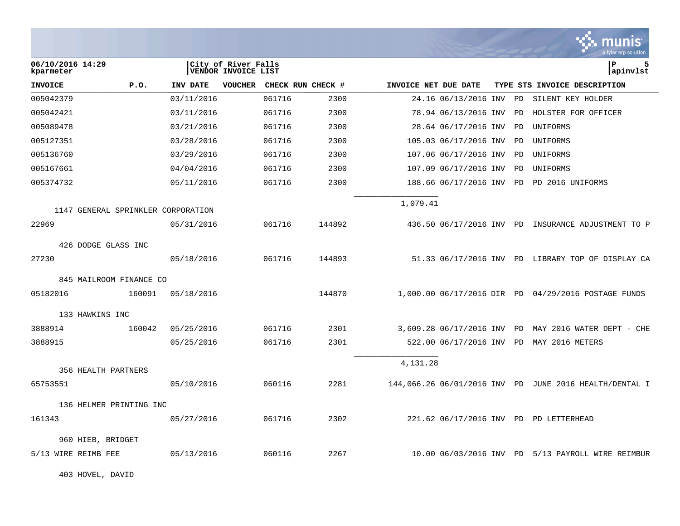|                                    |        |            |                                                   |        |                   |                      |                            |    | nıs<br>a tvler erp solutior                            |
|------------------------------------|--------|------------|---------------------------------------------------|--------|-------------------|----------------------|----------------------------|----|--------------------------------------------------------|
| 06/10/2016 14:29<br>kparmeter      |        |            | City of River Falls<br><b>VENDOR INVOICE LIST</b> |        |                   |                      |                            |    | lР<br>5<br> apinvlst                                   |
| <b>INVOICE</b>                     | P.0.   | INV DATE   | <b>VOUCHER</b>                                    |        | CHECK RUN CHECK # | INVOICE NET DUE DATE |                            |    | TYPE STS INVOICE DESCRIPTION                           |
| 005042379                          |        | 03/11/2016 |                                                   | 061716 | 2300              |                      | 24.16 06/13/2016 INV       | PD | SILENT KEY HOLDER                                      |
| 005042421                          |        | 03/11/2016 |                                                   | 061716 | 2300              |                      | 78.94 06/13/2016 INV       | PD | HOLSTER FOR OFFICER                                    |
| 005089478                          |        | 03/21/2016 |                                                   | 061716 | 2300              |                      | 28.64 06/17/2016 INV       | PD | UNIFORMS                                               |
| 005127351                          |        | 03/28/2016 |                                                   | 061716 | 2300              |                      | 105.03 06/17/2016 INV      | PD | UNIFORMS                                               |
| 005136760                          |        | 03/29/2016 |                                                   | 061716 | 2300              |                      | 107.06 06/17/2016 INV      | PD | UNIFORMS                                               |
| 005167661                          |        | 04/04/2016 |                                                   | 061716 | 2300              |                      | 107.09 06/17/2016 INV      | PD | UNIFORMS                                               |
| 005374732                          |        | 05/11/2016 |                                                   | 061716 | 2300              |                      | 188.66 06/17/2016 INV PD   |    | PD 2016 UNIFORMS                                       |
| 1147 GENERAL SPRINKLER CORPORATION |        |            |                                                   |        |                   | 1,079.41             |                            |    |                                                        |
| 22969                              |        | 05/31/2016 |                                                   | 061716 | 144892            |                      |                            |    | 436.50 06/17/2016 INV PD INSURANCE ADJUSTMENT TO P     |
| 426 DODGE GLASS INC                |        |            |                                                   |        |                   |                      |                            |    |                                                        |
| 27230                              |        | 05/18/2016 |                                                   | 061716 | 144893            |                      |                            |    | 51.33 06/17/2016 INV PD LIBRARY TOP OF DISPLAY CA      |
| 845 MAILROOM FINANCE CO            |        |            |                                                   |        |                   |                      |                            |    |                                                        |
| 05182016                           | 160091 | 05/18/2016 |                                                   |        | 144870            |                      |                            |    | 1,000.00 06/17/2016 DIR PD 04/29/2016 POSTAGE FUNDS    |
| 133 HAWKINS INC                    |        |            |                                                   |        |                   |                      |                            |    |                                                        |
| 3888914                            | 160042 | 05/25/2016 |                                                   | 061716 | 2301              |                      | 3,609.28 06/17/2016 INV PD |    | MAY 2016 WATER DEPT - CHE                              |
| 3888915                            |        | 05/25/2016 |                                                   | 061716 | 2301              |                      | 522.00 06/17/2016 INV PD   |    | MAY 2016 METERS                                        |
| 356 HEALTH PARTNERS                |        |            |                                                   |        |                   | 4,131.28             |                            |    |                                                        |
| 65753551                           |        | 05/10/2016 |                                                   | 060116 | 2281              |                      |                            |    | 144,066.26 06/01/2016 INV PD JUNE 2016 HEALTH/DENTAL I |
| 136 HELMER PRINTING INC            |        |            |                                                   |        |                   |                      |                            |    |                                                        |
| 161343                             |        | 05/27/2016 |                                                   | 061716 | 2302              |                      |                            |    | 221.62 06/17/2016 INV PD PD LETTERHEAD                 |
| 960 HIEB, BRIDGET                  |        |            |                                                   |        |                   |                      |                            |    |                                                        |
| 5/13 WIRE REIMB FEE                |        | 05/13/2016 |                                                   | 060116 | 2267              |                      |                            |    | 10.00 06/03/2016 INV PD 5/13 PAYROLL WIRE REIMBUR      |

403 HOVEL, DAVID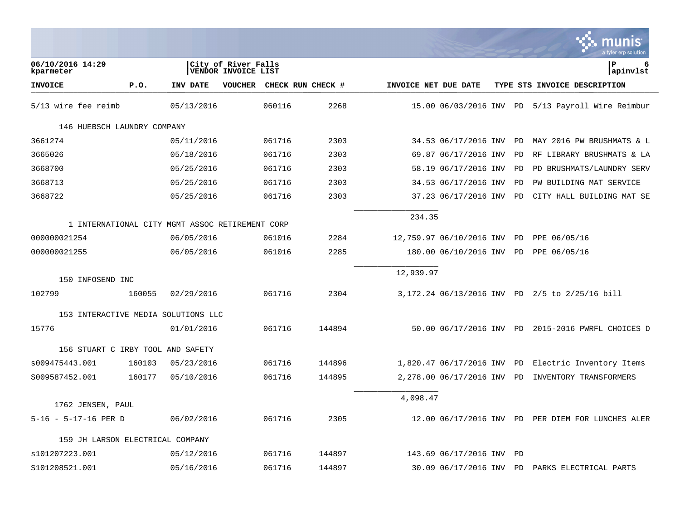|                                   |        |                                                 |                                            |                   |        |                      |                             |    | a tyler erp solution                              |
|-----------------------------------|--------|-------------------------------------------------|--------------------------------------------|-------------------|--------|----------------------|-----------------------------|----|---------------------------------------------------|
| 06/10/2016 14:29<br>kparmeter     |        |                                                 | City of River Falls<br>VENDOR INVOICE LIST |                   |        |                      |                             |    | ΙP<br>6<br> apinvlst                              |
| <b>INVOICE</b>                    | P.0.   | INV DATE                                        | <b>VOUCHER</b>                             | CHECK RUN CHECK # |        | INVOICE NET DUE DATE |                             |    | TYPE STS INVOICE DESCRIPTION                      |
| 5/13 wire fee reimb               |        | 05/13/2016                                      |                                            | 060116            | 2268   |                      |                             |    | 15.00 06/03/2016 INV PD 5/13 Payroll Wire Reimbur |
| 146 HUEBSCH LAUNDRY COMPANY       |        |                                                 |                                            |                   |        |                      |                             |    |                                                   |
| 3661274                           |        | 05/11/2016                                      |                                            | 061716            | 2303   |                      | 34.53 06/17/2016 INV        | PD | MAY 2016 PW BRUSHMATS & L                         |
| 3665026                           |        | 05/18/2016                                      |                                            | 061716            | 2303   |                      | 69.87 06/17/2016 INV        | PD | RF LIBRARY BRUSHMATS & LA                         |
| 3668700                           |        | 05/25/2016                                      |                                            | 061716            | 2303   |                      | 58.19 06/17/2016 INV        | PD | PD BRUSHMATS/LAUNDRY SERV                         |
| 3668713                           |        | 05/25/2016                                      |                                            | 061716            | 2303   |                      | 34.53 06/17/2016 INV        | PD | PW BUILDING MAT SERVICE                           |
| 3668722                           |        | 05/25/2016                                      |                                            | 061716            | 2303   |                      | 37.23 06/17/2016 INV        | PD | CITY HALL BUILDING MAT SE                         |
|                                   |        | 1 INTERNATIONAL CITY MGMT ASSOC RETIREMENT CORP |                                            |                   |        | 234.35               |                             |    |                                                   |
| 000000021254                      |        | 06/05/2016                                      |                                            | 061016            | 2284   |                      | 12,759.97 06/10/2016 INV PD |    | PPE 06/05/16                                      |
| 000000021255                      |        | 06/05/2016                                      |                                            | 061016            | 2285   |                      | 180.00 06/10/2016 INV PD    |    | PPE 06/05/16                                      |
| 150 INFOSEND INC                  |        |                                                 |                                            |                   |        | 12,939.97            |                             |    |                                                   |
| 102799                            | 160055 | 02/29/2016                                      |                                            | 061716            | 2304   |                      |                             |    | 3,172.24 06/13/2016 INV PD 2/5 to 2/25/16 bill    |
|                                   |        | 153 INTERACTIVE MEDIA SOLUTIONS LLC             |                                            |                   |        |                      |                             |    |                                                   |
| 15776                             |        | 01/01/2016                                      |                                            | 061716            | 144894 |                      | 50.00 06/17/2016 INV PD     |    | 2015-2016 PWRFL CHOICES D                         |
| 156 STUART C IRBY TOOL AND SAFETY |        |                                                 |                                            |                   |        |                      |                             |    |                                                   |
| s009475443.001                    | 160103 | 05/23/2016                                      |                                            | 061716            | 144896 |                      | 1,820.47 06/17/2016 INV PD  |    | Electric Inventory Items                          |
| S009587452.001                    | 160177 | 05/10/2016                                      |                                            | 061716            | 144895 |                      | 2,278.00 06/17/2016 INV     | PD | INVENTORY TRANSFORMERS                            |
|                                   |        |                                                 |                                            |                   |        | 4,098.47             |                             |    |                                                   |
| 1762 JENSEN, PAUL                 |        |                                                 |                                            |                   |        |                      |                             |    |                                                   |
| 5-16 - 5-17-16 PER D              |        | 06/02/2016                                      |                                            | 061716            | 2305   |                      | 12.00 06/17/2016 INV PD     |    | PER DIEM FOR LUNCHES ALER                         |
| 159 JH LARSON ELECTRICAL COMPANY  |        |                                                 |                                            |                   |        |                      |                             |    |                                                   |
| s101207223.001                    |        | 05/12/2016                                      |                                            | 061716            | 144897 |                      | 143.69 06/17/2016 INV       | PD |                                                   |
| S101208521.001                    |        | 05/16/2016                                      |                                            | 061716            | 144897 |                      | 30.09 06/17/2016 INV PD     |    | PARKS ELECTRICAL PARTS                            |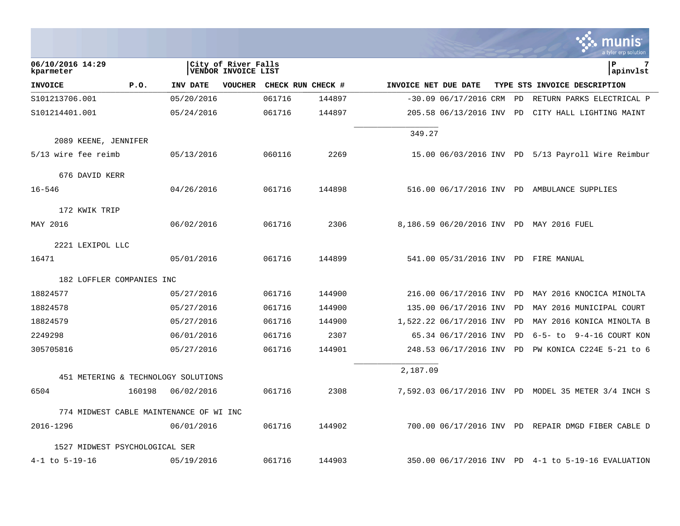|                                         |        |            |                                                   |        |                   |                      |                          |    | munis<br>a tyler erp solution                        |
|-----------------------------------------|--------|------------|---------------------------------------------------|--------|-------------------|----------------------|--------------------------|----|------------------------------------------------------|
| 06/10/2016 14:29<br>kparmeter           |        |            | City of River Falls<br><b>VENDOR INVOICE LIST</b> |        |                   |                      |                          |    | P<br>7<br>apinvlst                                   |
| <b>INVOICE</b>                          | P.0.   | INV DATE   | <b>VOUCHER</b>                                    |        | CHECK RUN CHECK # | INVOICE NET DUE DATE |                          |    | TYPE STS INVOICE DESCRIPTION                         |
| S101213706.001                          |        | 05/20/2016 |                                                   | 061716 | 144897            |                      | $-30.09$ 06/17/2016 CRM  | PD | RETURN PARKS ELECTRICAL P                            |
| S101214401.001                          |        | 05/24/2016 |                                                   | 061716 | 144897            |                      | 205.58 06/13/2016 INV PD |    | CITY HALL LIGHTING MAINT                             |
| 2089 KEENE, JENNIFER                    |        |            |                                                   |        |                   | 349.27               |                          |    |                                                      |
| 5/13 wire fee reimb                     |        | 05/13/2016 |                                                   | 060116 | 2269              |                      |                          |    | 15.00 06/03/2016 INV PD 5/13 Payroll Wire Reimbur    |
| 676 DAVID KERR                          |        |            |                                                   |        |                   |                      |                          |    |                                                      |
| $16 - 546$                              |        | 04/26/2016 |                                                   | 061716 | 144898            |                      |                          |    | 516.00 06/17/2016 INV PD AMBULANCE SUPPLIES          |
| 172 KWIK TRIP                           |        |            |                                                   |        |                   |                      |                          |    |                                                      |
| MAY 2016                                |        | 06/02/2016 |                                                   | 061716 | 2306              |                      |                          |    | 8,186.59 06/20/2016 INV PD MAY 2016 FUEL             |
| 2221 LEXIPOL LLC                        |        |            |                                                   |        |                   |                      |                          |    |                                                      |
| 16471                                   |        | 05/01/2016 |                                                   | 061716 | 144899            |                      |                          |    | 541.00 05/31/2016 INV PD FIRE MANUAL                 |
| 182 LOFFLER COMPANIES INC               |        |            |                                                   |        |                   |                      |                          |    |                                                      |
| 18824577                                |        | 05/27/2016 |                                                   | 061716 | 144900            |                      | 216.00 06/17/2016 INV PD |    | MAY 2016 KNOCICA MINOLTA                             |
| 18824578                                |        | 05/27/2016 |                                                   | 061716 | 144900            |                      | 135.00 06/17/2016 INV    | PD | MAY 2016 MUNICIPAL COURT                             |
| 18824579                                |        | 05/27/2016 |                                                   | 061716 | 144900            |                      | 1,522.22 06/17/2016 INV  | PD | MAY 2016 KONICA MINOLTA B                            |
| 2249298                                 |        | 06/01/2016 |                                                   | 061716 | 2307              |                      | 65.34 06/17/2016 INV     | PD | 9-4-16 COURT KON<br>6-5- to                          |
| 305705816                               |        | 05/27/2016 |                                                   | 061716 | 144901            |                      | 248.53 06/17/2016 INV PD |    | PW KONICA C224E 5-21 to 6                            |
| 451 METERING & TECHNOLOGY SOLUTIONS     |        |            |                                                   |        |                   | 2,187.09             |                          |    |                                                      |
| 6504                                    | 160198 | 06/02/2016 |                                                   | 061716 | 2308              |                      |                          |    | 7,592.03 06/17/2016 INV PD MODEL 35 METER 3/4 INCH S |
| 774 MIDWEST CABLE MAINTENANCE OF WI INC |        |            |                                                   |        |                   |                      |                          |    |                                                      |
| 2016-1296                               |        | 06/01/2016 |                                                   | 061716 | 144902            |                      |                          |    | 700.00 06/17/2016 INV PD REPAIR DMGD FIBER CABLE D   |
| 1527 MIDWEST PSYCHOLOGICAL SER          |        |            |                                                   |        |                   |                      |                          |    |                                                      |
| $4 - 1$ to $5 - 19 - 16$                |        | 05/19/2016 |                                                   | 061716 | 144903            |                      |                          |    | 350.00 06/17/2016 INV PD 4-1 to 5-19-16 EVALUATION   |

 $\mathcal{L}$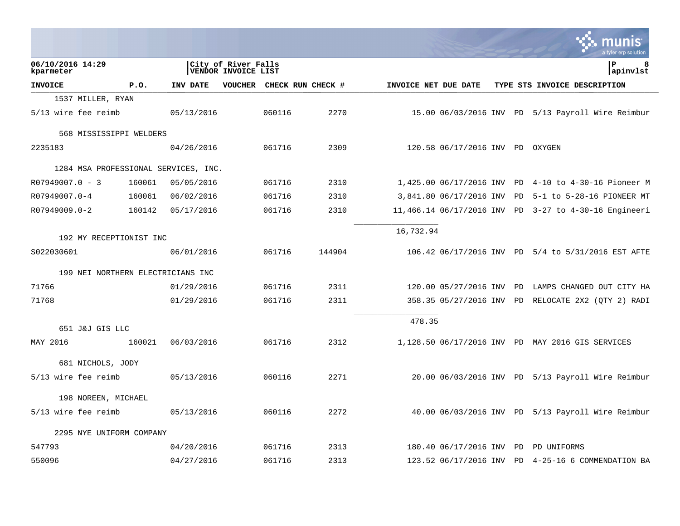|                                      |        |            |                                            |        |                           |                      |                                 |           | a tyler erp solution                                 |
|--------------------------------------|--------|------------|--------------------------------------------|--------|---------------------------|----------------------|---------------------------------|-----------|------------------------------------------------------|
| 06/10/2016 14:29<br>kparmeter        |        |            | City of River Falls<br>VENDOR INVOICE LIST |        |                           |                      |                                 |           | l P<br>8<br> apinvlst                                |
| <b>INVOICE</b>                       | P.0.   | INV DATE   |                                            |        | VOUCHER CHECK RUN CHECK # | INVOICE NET DUE DATE |                                 |           | TYPE STS INVOICE DESCRIPTION                         |
| 1537 MILLER, RYAN                    |        |            |                                            |        |                           |                      |                                 |           |                                                      |
| 5/13 wire fee reimb                  |        | 05/13/2016 |                                            | 060116 | 2270                      |                      |                                 |           | 15.00 06/03/2016 INV PD 5/13 Payroll Wire Reimbur    |
| 568 MISSISSIPPI WELDERS              |        |            |                                            |        |                           |                      |                                 |           |                                                      |
| 2235183                              |        | 04/26/2016 |                                            | 061716 | 2309                      |                      | 120.58 06/17/2016 INV PD OXYGEN |           |                                                      |
| 1284 MSA PROFESSIONAL SERVICES, INC. |        |            |                                            |        |                           |                      |                                 |           |                                                      |
| $R07949007.0 - 3$                    | 160061 | 05/05/2016 |                                            | 061716 | 2310                      |                      |                                 |           | 1,425.00 06/17/2016 INV PD 4-10 to 4-30-16 Pioneer M |
| R07949007.0-4                        | 160061 | 06/02/2016 |                                            | 061716 | 2310                      |                      | 3,841.80 06/17/2016 INV         | PD        | 5-1 to 5-28-16 PIONEER MT                            |
| R07949009.0-2                        | 160142 | 05/17/2016 |                                            | 061716 | 2310                      |                      | 11,466.14 06/17/2016 INV        |           | PD 3-27 to 4-30-16 Engineeri                         |
| 192 MY RECEPTIONIST INC              |        |            |                                            |        |                           | 16,732.94            |                                 |           |                                                      |
| S022030601                           |        | 06/01/2016 |                                            | 061716 | 144904                    |                      |                                 |           | 106.42 06/17/2016 INV PD 5/4 to 5/31/2016 EST AFTE   |
| 199 NEI NORTHERN ELECTRICIANS INC    |        |            |                                            |        |                           |                      |                                 |           |                                                      |
| 71766                                |        | 01/29/2016 |                                            | 061716 | 2311                      |                      | 120.00 05/27/2016 INV PD        |           | LAMPS CHANGED OUT CITY HA                            |
| 71768                                |        | 01/29/2016 |                                            | 061716 | 2311                      |                      |                                 |           | 358.35 05/27/2016 INV PD RELOCATE 2X2 (QTY 2) RADI   |
| 651 J&J GIS LLC                      |        |            |                                            |        |                           | 478.35               |                                 |           |                                                      |
| MAY 2016                             | 160021 | 06/03/2016 |                                            | 061716 | 2312                      |                      |                                 |           | 1,128.50 06/17/2016 INV PD MAY 2016 GIS SERVICES     |
| 681 NICHOLS, JODY                    |        |            |                                            |        |                           |                      |                                 |           |                                                      |
| 5/13 wire fee reimb                  |        | 05/13/2016 |                                            | 060116 | 2271                      |                      |                                 |           | 20.00 06/03/2016 INV PD 5/13 Payroll Wire Reimbur    |
| 198 NOREEN, MICHAEL                  |        |            |                                            |        |                           |                      |                                 |           |                                                      |
| 5/13 wire fee reimb                  |        | 05/13/2016 |                                            | 060116 | 2272                      |                      |                                 |           | 40.00 06/03/2016 INV PD 5/13 Payroll Wire Reimbur    |
| 2295 NYE UNIFORM COMPANY             |        |            |                                            |        |                           |                      |                                 |           |                                                      |
| 547793                               |        | 04/20/2016 |                                            | 061716 | 2313                      |                      | 180.40 06/17/2016 INV           | <b>PD</b> | PD UNIFORMS                                          |
| 550096                               |        | 04/27/2016 |                                            | 061716 | 2313                      |                      | 123.52 06/17/2016 INV PD        |           | 4-25-16 6 COMMENDATION BA                            |

and the control of the control of the control of

**Tara**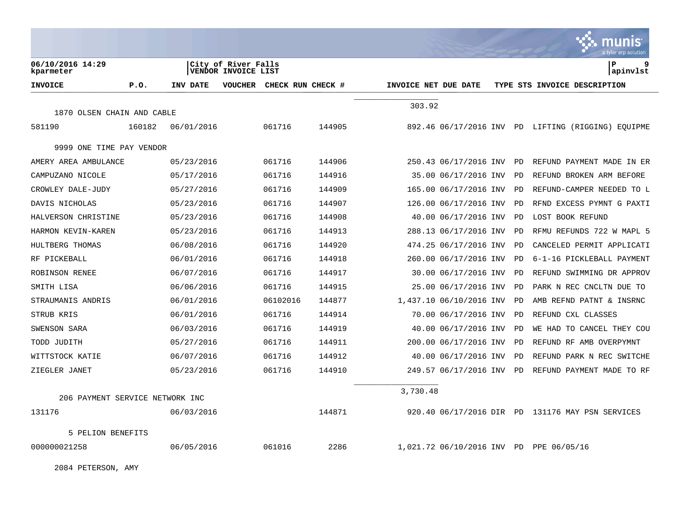|                                 |        |            |                                            |                   |        |                      |                            |    | a tyler erp solution                               |
|---------------------------------|--------|------------|--------------------------------------------|-------------------|--------|----------------------|----------------------------|----|----------------------------------------------------|
| 06/10/2016 14:29<br>kparmeter   |        |            | City of River Falls<br>VENDOR INVOICE LIST |                   |        |                      |                            |    | ΙP<br>9<br>apinvlst                                |
| <b>INVOICE</b>                  | P.0.   | INV DATE   | <b>VOUCHER</b>                             | CHECK RUN CHECK # |        | INVOICE NET DUE DATE |                            |    | TYPE STS INVOICE DESCRIPTION                       |
|                                 |        |            |                                            |                   |        | 303.92               |                            |    |                                                    |
| 1870 OLSEN CHAIN AND CABLE      |        |            |                                            |                   |        |                      |                            |    |                                                    |
| 581190                          | 160182 | 06/01/2016 |                                            | 061716            | 144905 |                      |                            |    | 892.46 06/17/2016 INV PD LIFTING (RIGGING) EQUIPME |
| 9999 ONE TIME PAY VENDOR        |        |            |                                            |                   |        |                      |                            |    |                                                    |
| AMERY AREA AMBULANCE            |        | 05/23/2016 |                                            | 061716            | 144906 |                      | 250.43 06/17/2016 INV      | PD | REFUND PAYMENT MADE IN ER                          |
| CAMPUZANO NICOLE                |        | 05/17/2016 |                                            | 061716            | 144916 |                      | 35.00 06/17/2016 INV       | PD | REFUND BROKEN ARM BEFORE                           |
| CROWLEY DALE-JUDY               |        | 05/27/2016 |                                            | 061716            | 144909 |                      | 165.00 06/17/2016 INV      | PD | REFUND-CAMPER NEEDED TO L                          |
| DAVIS NICHOLAS                  |        | 05/23/2016 |                                            | 061716            | 144907 |                      | 126.00 06/17/2016 INV      | PD | RFND EXCESS PYMNT G PAXTI                          |
| HALVERSON CHRISTINE             |        | 05/23/2016 |                                            | 061716            | 144908 |                      | 40.00 06/17/2016 INV       | PD | LOST BOOK REFUND                                   |
| HARMON KEVIN-KAREN              |        | 05/23/2016 |                                            | 061716            | 144913 |                      | 288.13 06/17/2016 INV      | PD | RFMU REFUNDS 722 W MAPL 5                          |
| HULTBERG THOMAS                 |        | 06/08/2016 |                                            | 061716            | 144920 |                      | 474.25 06/17/2016 INV      | PD | CANCELED PERMIT APPLICATI                          |
| RF PICKEBALL                    |        | 06/01/2016 |                                            | 061716            | 144918 |                      | 260.00 06/17/2016 INV      | PD | 6-1-16 PICKLEBALL PAYMENT                          |
| ROBINSON RENEE                  |        | 06/07/2016 |                                            | 061716            | 144917 |                      | 30.00 06/17/2016 INV       | PD | REFUND SWIMMING DR APPROV                          |
| SMITH LISA                      |        | 06/06/2016 |                                            | 061716            | 144915 |                      | 25.00 06/17/2016 INV       | PD | PARK N REC CNCLTN DUE TO                           |
| STRAUMANIS ANDRIS               |        | 06/01/2016 |                                            | 06102016          | 144877 |                      | 1,437.10 06/10/2016 INV    | PD | AMB REFND PATNT & INSRNC                           |
| STRUB KRIS                      |        | 06/01/2016 |                                            | 061716            | 144914 |                      | 70.00 06/17/2016 INV       | PD | REFUND CXL CLASSES                                 |
| SWENSON SARA                    |        | 06/03/2016 |                                            | 061716            | 144919 |                      | 40.00 06/17/2016 INV       | PD | WE HAD TO CANCEL THEY COU                          |
| TODD JUDITH                     |        | 05/27/2016 |                                            | 061716            | 144911 |                      | 200.00 06/17/2016 INV      | PD | REFUND RF AMB OVERPYMNT                            |
| WITTSTOCK KATIE                 |        | 06/07/2016 |                                            | 061716            | 144912 |                      | 40.00 06/17/2016 INV       | PD | REFUND PARK N REC SWITCHE                          |
| ZIEGLER JANET                   |        | 05/23/2016 |                                            | 061716            | 144910 |                      | 249.57 06/17/2016 INV      | PD | REFUND PAYMENT MADE TO RF                          |
|                                 |        |            |                                            |                   |        | 3,730.48             |                            |    |                                                    |
| 206 PAYMENT SERVICE NETWORK INC |        |            |                                            |                   |        |                      |                            |    |                                                    |
| 131176                          |        | 06/03/2016 |                                            |                   | 144871 |                      |                            |    | 920.40 06/17/2016 DIR PD 131176 MAY PSN SERVICES   |
| 5 PELION BENEFITS               |        |            |                                            |                   |        |                      |                            |    |                                                    |
| 000000021258                    |        | 06/05/2016 |                                            | 061016            | 2286   |                      | 1,021.72 06/10/2016 INV PD |    | PPE 06/05/16                                       |

2084 PETERSON, AMY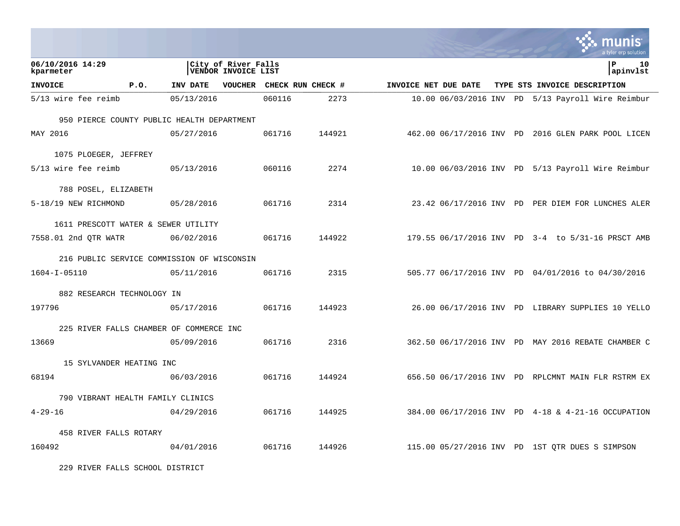|                                            |      |            |                                            |        |                           |                      |  | a tvler erp solution                               |
|--------------------------------------------|------|------------|--------------------------------------------|--------|---------------------------|----------------------|--|----------------------------------------------------|
| 06/10/2016 14:29<br>kparmeter              |      |            | City of River Falls<br>VENDOR INVOICE LIST |        |                           |                      |  | Þ<br>10<br> apinvlst                               |
| <b>INVOICE</b>                             | P.0. | INV DATE   |                                            |        | VOUCHER CHECK RUN CHECK # | INVOICE NET DUE DATE |  | TYPE STS INVOICE DESCRIPTION                       |
| 5/13 wire fee reimb                        |      | 05/13/2016 |                                            | 060116 | 2273                      |                      |  | 10.00 06/03/2016 INV PD 5/13 Payroll Wire Reimbur  |
| 950 PIERCE COUNTY PUBLIC HEALTH DEPARTMENT |      |            |                                            |        |                           |                      |  |                                                    |
| MAY 2016                                   |      | 05/27/2016 |                                            | 061716 | 144921                    |                      |  | 462.00 06/17/2016 INV PD 2016 GLEN PARK POOL LICEN |
| 1075 PLOEGER, JEFFREY                      |      |            |                                            |        |                           |                      |  |                                                    |
| 5/13 wire fee reimb                        |      | 05/13/2016 |                                            | 060116 | 2274                      |                      |  | 10.00 06/03/2016 INV PD 5/13 Payroll Wire Reimbur  |
| 788 POSEL, ELIZABETH                       |      |            |                                            |        |                           |                      |  |                                                    |
| 5-18/19 NEW RICHMOND                       |      | 05/28/2016 |                                            | 061716 | 2314                      |                      |  | 23.42 06/17/2016 INV PD PER DIEM FOR LUNCHES ALER  |
| 1611 PRESCOTT WATER & SEWER UTILITY        |      |            |                                            |        |                           |                      |  |                                                    |
| 7558.01 2nd QTR WATR                       |      | 06/02/2016 |                                            | 061716 | 144922                    |                      |  | 179.55 06/17/2016 INV PD 3-4 to 5/31-16 PRSCT AMB  |
| 216 PUBLIC SERVICE COMMISSION OF WISCONSIN |      |            |                                            |        |                           |                      |  |                                                    |
| $1604 - I - 05110$                         |      | 05/11/2016 |                                            | 061716 | 2315                      |                      |  | 505.77 06/17/2016 INV PD 04/01/2016 to 04/30/2016  |
| 882 RESEARCH TECHNOLOGY IN                 |      |            |                                            |        |                           |                      |  |                                                    |
| 197796                                     |      | 05/17/2016 |                                            | 061716 | 144923                    |                      |  | 26.00 06/17/2016 INV PD LIBRARY SUPPLIES 10 YELLO  |
| 225 RIVER FALLS CHAMBER OF COMMERCE INC    |      |            |                                            |        |                           |                      |  |                                                    |
| 13669                                      |      | 05/09/2016 |                                            | 061716 | 2316                      |                      |  | 362.50 06/17/2016 INV PD MAY 2016 REBATE CHAMBER C |
| 15 SYLVANDER HEATING INC                   |      |            |                                            |        |                           |                      |  |                                                    |
| 68194                                      |      | 06/03/2016 |                                            | 061716 | 144924                    |                      |  | 656.50 06/17/2016 INV PD RPLCMNT MAIN FLR RSTRM EX |
| 790 VIBRANT HEALTH FAMILY CLINICS          |      |            |                                            |        |                           |                      |  |                                                    |
| $4 - 29 - 16$                              |      | 04/29/2016 |                                            | 061716 | 144925                    |                      |  | 384.00 06/17/2016 INV PD 4-18 & 4-21-16 OCCUPATION |
| 458 RIVER FALLS ROTARY                     |      |            |                                            |        |                           |                      |  |                                                    |
| 160492                                     |      | 04/01/2016 |                                            | 061716 | 144926                    |                      |  | 115.00 05/27/2016 INV PD 1ST OTR DUES S SIMPSON    |

229 RIVER FALLS SCHOOL DISTRICT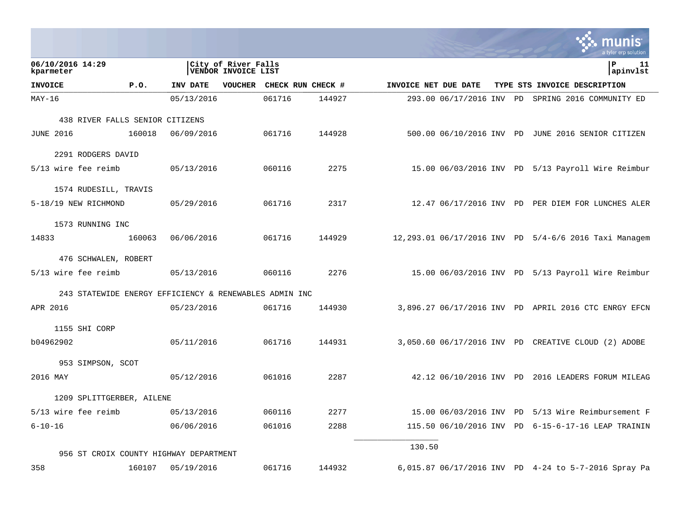|                                                        |        |            |                                            |                   |        |                      |                          |  | <b>W.</b> HIUIIIS<br>a tyler erp solution             |
|--------------------------------------------------------|--------|------------|--------------------------------------------|-------------------|--------|----------------------|--------------------------|--|-------------------------------------------------------|
| 06/10/2016 14:29<br>kparmeter                          |        |            | City of River Falls<br>VENDOR INVOICE LIST |                   |        |                      |                          |  | ΙP<br>11<br>apinvlst                                  |
| <b>INVOICE</b>                                         | P.0.   | INV DATE   | <b>VOUCHER</b>                             | CHECK RUN CHECK # |        | INVOICE NET DUE DATE |                          |  | TYPE STS INVOICE DESCRIPTION                          |
| MAY-16                                                 |        | 05/13/2016 |                                            | 061716            | 144927 |                      |                          |  | 293.00 06/17/2016 INV PD SPRING 2016 COMMUNITY ED     |
| 438 RIVER FALLS SENIOR CITIZENS                        |        |            |                                            |                   |        |                      |                          |  |                                                       |
| <b>JUNE 2016</b>                                       | 160018 | 06/09/2016 |                                            | 061716            | 144928 |                      |                          |  | 500.00 06/10/2016 INV PD JUNE 2016 SENIOR CITIZEN     |
| 2291 RODGERS DAVID                                     |        |            |                                            |                   |        |                      |                          |  |                                                       |
| 5/13 wire fee reimb                                    |        | 05/13/2016 |                                            | 060116            | 2275   |                      |                          |  | 15.00 06/03/2016 INV PD 5/13 Payroll Wire Reimbur     |
| 1574 RUDESILL, TRAVIS                                  |        |            |                                            |                   |        |                      |                          |  |                                                       |
| 5-18/19 NEW RICHMOND                                   |        | 05/29/2016 |                                            | 061716            | 2317   |                      |                          |  | 12.47 06/17/2016 INV PD PER DIEM FOR LUNCHES ALER     |
| 1573 RUNNING INC                                       |        |            |                                            |                   |        |                      |                          |  |                                                       |
| 14833                                                  | 160063 | 06/06/2016 |                                            | 061716            | 144929 |                      |                          |  | 12,293.01 06/17/2016 INV PD 5/4-6/6 2016 Taxi Managem |
| 476 SCHWALEN, ROBERT                                   |        |            |                                            |                   |        |                      |                          |  |                                                       |
| 5/13 wire fee reimb                                    |        | 05/13/2016 |                                            | 060116            | 2276   |                      |                          |  | 15.00 06/03/2016 INV PD 5/13 Payroll Wire Reimbur     |
| 243 STATEWIDE ENERGY EFFICIENCY & RENEWABLES ADMIN INC |        |            |                                            |                   |        |                      |                          |  |                                                       |
| APR 2016                                               |        | 05/23/2016 |                                            | 061716            | 144930 |                      |                          |  | 3,896.27 06/17/2016 INV PD APRIL 2016 CTC ENRGY EFCN  |
| 1155 SHI CORP                                          |        |            |                                            |                   |        |                      |                          |  |                                                       |
| b04962902                                              |        | 05/11/2016 |                                            | 061716            | 144931 |                      |                          |  | 3,050.60 06/17/2016 INV PD CREATIVE CLOUD (2) ADOBE   |
| 953 SIMPSON, SCOT                                      |        |            |                                            |                   |        |                      |                          |  |                                                       |
| 2016 MAY                                               |        | 05/12/2016 |                                            | 061016            | 2287   |                      |                          |  | 42.12 06/10/2016 INV PD 2016 LEADERS FORUM MILEAG     |
| 1209 SPLITTGERBER, AILENE                              |        |            |                                            |                   |        |                      |                          |  |                                                       |
| 5/13 wire fee reimb                                    |        | 05/13/2016 |                                            | 060116            | 2277   |                      |                          |  | 15.00 06/03/2016 INV PD 5/13 Wire Reimbursement F     |
| $6 - 10 - 16$                                          |        | 06/06/2016 |                                            | 061016            | 2288   |                      | 115.50 06/10/2016 INV PD |  | 6-15-6-17-16 LEAP TRAININ                             |
| 956 ST CROIX COUNTY HIGHWAY DEPARTMENT                 |        |            |                                            |                   |        | 130.50               |                          |  |                                                       |
| 358                                                    | 160107 | 05/19/2016 |                                            | 061716            | 144932 |                      |                          |  | 6,015.87 06/17/2016 INV PD 4-24 to 5-7-2016 Spray Pa  |

 $\mathcal{L}^{\text{max}}$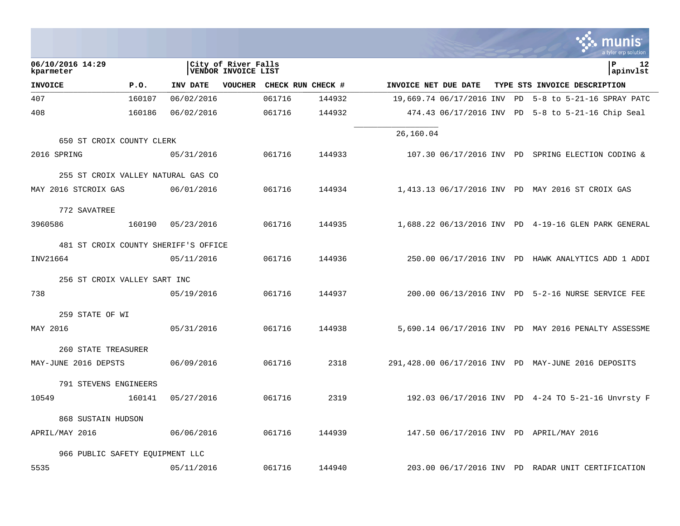|                                 |        |                                            |                |                   |        |                      |                          |    | unıs<br>a tyler erp solution                         |
|---------------------------------|--------|--------------------------------------------|----------------|-------------------|--------|----------------------|--------------------------|----|------------------------------------------------------|
| 06/10/2016 14:29<br>kparmeter   |        | City of River Falls<br>VENDOR INVOICE LIST |                |                   |        |                      |                          |    | Þ<br>12<br>apinvlst                                  |
| <b>INVOICE</b>                  | P.0.   | INV DATE                                   | <b>VOUCHER</b> | CHECK RUN CHECK # |        | INVOICE NET DUE DATE |                          |    | TYPE STS INVOICE DESCRIPTION                         |
| 407                             | 160107 | 06/02/2016                                 |                | 061716            | 144932 |                      | 19,669.74 06/17/2016 INV | PD | $5-8$ to $5-21-16$ SPRAY PATC                        |
| 408                             | 160186 | 06/02/2016                                 |                | 061716            | 144932 |                      | 474.43 06/17/2016 INV PD |    | $5-8$ to $5-21-16$ Chip Seal                         |
| 650 ST CROIX COUNTY CLERK       |        |                                            |                |                   |        | 26,160.04            |                          |    |                                                      |
| 2016 SPRING                     |        | 05/31/2016                                 |                | 061716            | 144933 |                      |                          |    | 107.30 06/17/2016 INV PD SPRING ELECTION CODING &    |
|                                 |        | 255 ST CROIX VALLEY NATURAL GAS CO         |                |                   |        |                      |                          |    |                                                      |
| MAY 2016 STCROIX GAS            |        | 06/01/2016                                 |                | 061716            | 144934 |                      |                          |    | 1,413.13 06/17/2016 INV PD MAY 2016 ST CROIX GAS     |
| 772 SAVATREE                    |        |                                            |                |                   |        |                      |                          |    |                                                      |
| 3960586                         | 160190 | 05/23/2016                                 |                | 061716            | 144935 |                      |                          |    | 1,688.22 06/13/2016 INV PD 4-19-16 GLEN PARK GENERAL |
|                                 |        | 481 ST CROIX COUNTY SHERIFF'S OFFICE       |                |                   |        |                      |                          |    |                                                      |
| INV21664                        |        | 05/11/2016                                 |                | 061716            | 144936 |                      |                          |    | 250.00 06/17/2016 INV PD HAWK ANALYTICS ADD 1 ADDI   |
| 256 ST CROIX VALLEY SART INC    |        |                                            |                |                   |        |                      |                          |    |                                                      |
| 738                             |        | 05/19/2016                                 |                | 061716            | 144937 |                      |                          |    | 200.00 06/13/2016 INV PD 5-2-16 NURSE SERVICE FEE    |
| 259 STATE OF WI                 |        |                                            |                |                   |        |                      |                          |    |                                                      |
| MAY 2016                        |        | 05/31/2016                                 |                | 061716            | 144938 |                      |                          |    | 5,690.14 06/17/2016 INV PD MAY 2016 PENALTY ASSESSME |
| 260 STATE TREASURER             |        |                                            |                |                   |        |                      |                          |    |                                                      |
| MAY-JUNE 2016 DEPSTS            |        | 06/09/2016                                 |                | 061716            | 2318   |                      |                          |    | 291,428.00 06/17/2016 INV PD MAY-JUNE 2016 DEPOSITS  |
| 791 STEVENS ENGINEERS           |        |                                            |                |                   |        |                      |                          |    |                                                      |
| 10549                           | 160141 | 05/27/2016                                 |                | 061716            | 2319   |                      |                          |    | 192.03 06/17/2016 INV PD 4-24 TO 5-21-16 Unvrsty F   |
| 868 SUSTAIN HUDSON              |        |                                            |                |                   |        |                      |                          |    |                                                      |
| APRIL/MAY 2016                  |        | 06/06/2016                                 |                | 061716            | 144939 |                      |                          |    | 147.50 06/17/2016 INV PD APRIL/MAY 2016              |
| 966 PUBLIC SAFETY EOUIPMENT LLC |        |                                            |                |                   |        |                      |                          |    |                                                      |
| 5535                            |        | 05/11/2016                                 |                | 061716            | 144940 |                      |                          |    | 203.00 06/17/2016 INV PD RADAR UNIT CERTIFICATION    |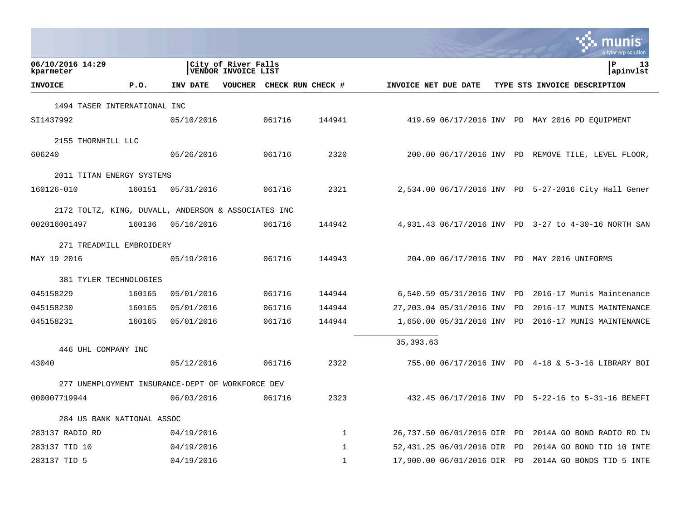|                                                     |        |            |                                            |                           |              |                      |                          |    | munis<br>a tyler erp solution                        |
|-----------------------------------------------------|--------|------------|--------------------------------------------|---------------------------|--------------|----------------------|--------------------------|----|------------------------------------------------------|
| 06/10/2016 14:29<br>kparmeter                       |        |            | City of River Falls<br>VENDOR INVOICE LIST |                           |              |                      |                          |    | l P<br>13<br> apinvlst                               |
| <b>INVOICE</b>                                      | P.0.   | INV DATE   |                                            | VOUCHER CHECK RUN CHECK # |              | INVOICE NET DUE DATE |                          |    | TYPE STS INVOICE DESCRIPTION                         |
| 1494 TASER INTERNATIONAL INC                        |        |            |                                            |                           |              |                      |                          |    |                                                      |
| SI1437992                                           |        | 05/10/2016 |                                            | 061716                    | 144941       |                      |                          |    | 419.69 06/17/2016 INV PD MAY 2016 PD EQUIPMENT       |
| 2155 THORNHILL LLC                                  |        |            |                                            |                           |              |                      |                          |    |                                                      |
| 606240                                              |        | 05/26/2016 |                                            | 061716                    | 2320         |                      |                          |    | 200.00 06/17/2016 INV PD REMOVE TILE, LEVEL FLOOR,   |
| 2011 TITAN ENERGY SYSTEMS                           |        |            |                                            |                           |              |                      |                          |    |                                                      |
| 160126-010                                          | 160151 | 05/31/2016 |                                            | 061716                    | 2321         |                      |                          |    | 2,534.00 06/17/2016 INV PD 5-27-2016 City Hall Gener |
| 2172 TOLTZ, KING, DUVALL, ANDERSON & ASSOCIATES INC |        |            |                                            |                           |              |                      |                          |    |                                                      |
| 002016001497                                        | 160136 | 05/16/2016 |                                            | 061716                    | 144942       |                      |                          |    | 4,931.43 06/17/2016 INV PD 3-27 to 4-30-16 NORTH SAN |
| 271 TREADMILL EMBROIDERY                            |        |            |                                            |                           |              |                      |                          |    |                                                      |
| MAY 19 2016                                         |        | 05/19/2016 |                                            | 061716                    | 144943       |                      |                          |    | 204.00 06/17/2016 INV PD MAY 2016 UNIFORMS           |
| 381 TYLER TECHNOLOGIES                              |        |            |                                            |                           |              |                      |                          |    |                                                      |
| 045158229                                           | 160165 | 05/01/2016 |                                            | 061716                    | 144944       |                      | 6,540.59 05/31/2016 INV  | PD | 2016-17 Munis Maintenance                            |
| 045158230                                           | 160165 | 05/01/2016 |                                            | 061716                    | 144944       |                      | 27,203.04 05/31/2016 INV | PD | 2016-17 MUNIS MAINTENANCE                            |
| 045158231                                           | 160165 | 05/01/2016 |                                            | 061716                    | 144944       |                      | 1,650.00 05/31/2016 INV  | PD | 2016-17 MUNIS MAINTENANCE                            |
|                                                     |        |            |                                            |                           |              | 35, 393.63           |                          |    |                                                      |
| 446 UHL COMPANY INC                                 |        |            |                                            |                           |              |                      |                          |    |                                                      |
| 43040                                               |        | 05/12/2016 |                                            | 061716                    | 2322         |                      |                          |    | 755.00 06/17/2016 INV PD 4-18 & 5-3-16 LIBRARY BOI   |
| 277 UNEMPLOYMENT INSURANCE-DEPT OF WORKFORCE DEV    |        |            |                                            |                           |              |                      |                          |    |                                                      |
| 000007719944                                        |        | 06/03/2016 |                                            | 061716                    | 2323         |                      |                          |    | 432.45 06/17/2016 INV PD 5-22-16 to 5-31-16 BENEFI   |
| 284 US BANK NATIONAL ASSOC                          |        |            |                                            |                           |              |                      |                          |    |                                                      |
| 283137 RADIO RD                                     |        | 04/19/2016 |                                            |                           | 1            |                      | 26,737.50 06/01/2016 DIR | PD | 2014A GO BOND RADIO RD IN                            |
| 283137 TID 10                                       |        | 04/19/2016 |                                            |                           | $\mathbf{1}$ |                      | 52,431.25 06/01/2016 DIR | PD | 2014A GO BOND TID 10 INTE                            |
| 283137 TID 5                                        |        | 04/19/2016 |                                            |                           | $\mathbf{1}$ |                      | 17,900.00 06/01/2016 DIR | PD | 2014A GO BONDS TID 5 INTE                            |

**College**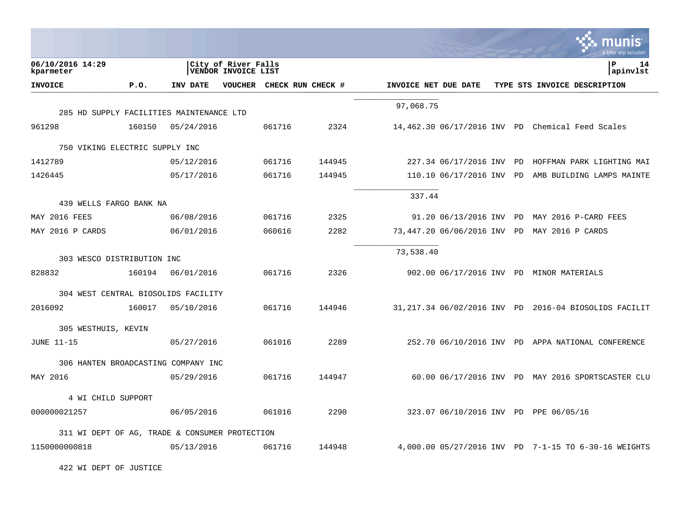|                                                |        |            |                                            |        |                           |                      |                          |     | munis<br>a tyler erp solution                          |
|------------------------------------------------|--------|------------|--------------------------------------------|--------|---------------------------|----------------------|--------------------------|-----|--------------------------------------------------------|
| 06/10/2016 14:29<br>kparmeter                  |        |            | City of River Falls<br>VENDOR INVOICE LIST |        |                           |                      |                          |     | P<br>14<br>apinvlst                                    |
| <b>INVOICE</b>                                 | P.0.   | INV DATE   |                                            |        | VOUCHER CHECK RUN CHECK # | INVOICE NET DUE DATE |                          |     | TYPE STS INVOICE DESCRIPTION                           |
|                                                |        |            |                                            |        |                           | 97,068.75            |                          |     |                                                        |
| 285 HD SUPPLY FACILITIES MAINTENANCE LTD       |        |            |                                            |        |                           |                      |                          |     |                                                        |
| 961298                                         | 160150 | 05/24/2016 |                                            | 061716 | 2324                      |                      |                          |     | 14,462.30 06/17/2016 INV PD Chemical Feed Scales       |
| 750 VIKING ELECTRIC SUPPLY INC                 |        |            |                                            |        |                           |                      |                          |     |                                                        |
| 1412789                                        |        | 05/12/2016 |                                            | 061716 | 144945                    |                      | 227.34 06/17/2016 INV    | PD  | HOFFMAN PARK LIGHTING MAI                              |
| 1426445                                        |        | 05/17/2016 |                                            | 061716 | 144945                    |                      | 110.10 06/17/2016 INV PD |     | AMB BUILDING LAMPS MAINTE                              |
|                                                |        |            |                                            |        |                           | 337.44               |                          |     |                                                        |
| 439 WELLS FARGO BANK NA                        |        |            |                                            |        |                           |                      |                          |     |                                                        |
| MAY 2016 FEES                                  |        | 06/08/2016 |                                            | 061716 | 2325                      |                      | 91.20 06/13/2016 INV PD  |     | MAY 2016 P-CARD FEES                                   |
| MAY 2016 P CARDS                               |        | 06/01/2016 |                                            | 060616 | 2282                      |                      | 73,447.20 06/06/2016 INV | PD. | MAY 2016 P CARDS                                       |
| 303 WESCO DISTRIBUTION INC                     |        |            |                                            |        |                           | 73,538.40            |                          |     |                                                        |
| 828832                                         | 160194 | 06/01/2016 |                                            | 061716 | 2326                      |                      |                          |     | 902.00 06/17/2016 INV PD MINOR MATERIALS               |
| 304 WEST CENTRAL BIOSOLIDS FACILITY            |        |            |                                            |        |                           |                      |                          |     |                                                        |
| 2016092                                        | 160017 | 05/10/2016 |                                            | 061716 | 144946                    |                      |                          |     | 31, 217.34 06/02/2016 INV PD 2016-04 BIOSOLIDS FACILIT |
| 305 WESTHUIS, KEVIN                            |        |            |                                            |        |                           |                      |                          |     |                                                        |
| <b>JUNE 11-15</b>                              |        | 05/27/2016 |                                            | 061016 | 2289                      |                      |                          |     | 252.70 06/10/2016 INV PD APPA NATIONAL CONFERENCE      |
| 306 HANTEN BROADCASTING COMPANY INC            |        |            |                                            |        |                           |                      |                          |     |                                                        |
| MAY 2016                                       |        | 05/29/2016 |                                            | 061716 | 144947                    |                      |                          |     | 60.00 06/17/2016 INV PD MAY 2016 SPORTSCASTER CLU      |
| 4 WI CHILD SUPPORT                             |        |            |                                            |        |                           |                      |                          |     |                                                        |
| 000000021257                                   |        | 06/05/2016 |                                            | 061016 | 2290                      |                      |                          |     | 323.07 06/10/2016 INV PD PPE 06/05/16                  |
| 311 WI DEPT OF AG, TRADE & CONSUMER PROTECTION |        |            |                                            |        |                           |                      |                          |     |                                                        |
| 1150000000818                                  |        | 05/13/2016 |                                            | 061716 | 144948                    |                      |                          |     | 4,000.00 05/27/2016 INV PD 7-1-15 TO 6-30-16 WEIGHTS   |

422 WI DEPT OF JUSTICE